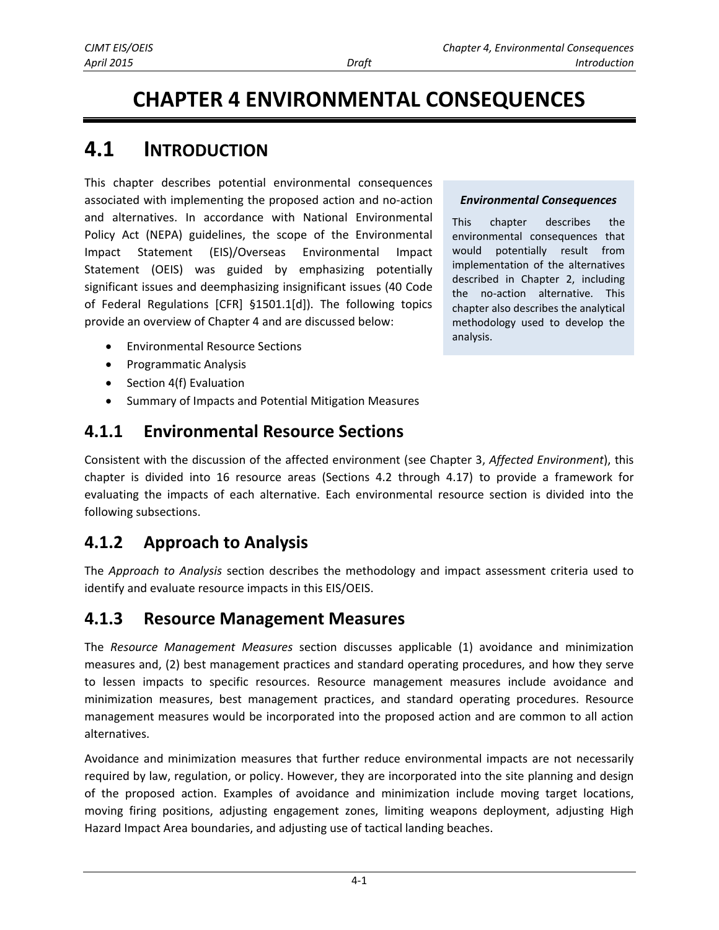# **CHAPTER 4 ENVIRONMENTAL CONSEQUENCES**

# **4.1 INTRODUCTION**

This chapter describes potential environmental consequences associated with implementing the proposed action and no-action and alternatives. In accordance with National Environmental Policy Act (NEPA) guidelines, the scope of the Environmental Impact Statement (EIS)/Overseas Environmental Impact Statement (OEIS) was guided by emphasizing potentially significant issues and deemphasizing insignificant issues (40 Code of Federal Regulations [CFR] §1501.1[d]). The following topics provide an overview of Chapter 4 and are discussed below:

- Environmental Resource Sections
- Programmatic Analysis
- Section 4(f) Evaluation
- Summary of Impacts and Potential Mitigation Measures

### **4.1.1 Environmental Resource Sections**

Consistent with the discussion of the affected environment (see Chapter 3, *Affected Environment*), this chapter is divided into 16 resource areas (Sections 4.2 through 4.17) to provide a framework for evaluating the impacts of each alternative. Each environmental resource section is divided into the following subsections.

### **4.1.2 Approach to Analysis**

The *Approach to Analysis* section describes the methodology and impact assessment criteria used to identify and evaluate resource impacts in this EIS/OEIS.

### **4.1.3 Resource Management Measures**

The *Resource Management Measures* section discusses applicable (1) avoidance and minimization measures and, (2) best management practices and standard operating procedures, and how they serve to lessen impacts to specific resources. Resource management measures include avoidance and minimization measures, best management practices, and standard operating procedures. Resource management measures would be incorporated into the proposed action and are common to all action alternatives.

Avoidance and minimization measures that further reduce environmental impacts are not necessarily required by law, regulation, or policy. However, they are incorporated into the site planning and design of the proposed action. Examples of avoidance and minimization include moving target locations, moving firing positions, adjusting engagement zones, limiting weapons deployment, adjusting High Hazard Impact Area boundaries, and adjusting use of tactical landing beaches.

#### *Environmental Consequences*

This chapter describes the environmental consequences that would potentially result from implementation of the alternatives described in Chapter 2, including the no-action alternative. This chapter also describes the analytical methodology used to develop the analysis.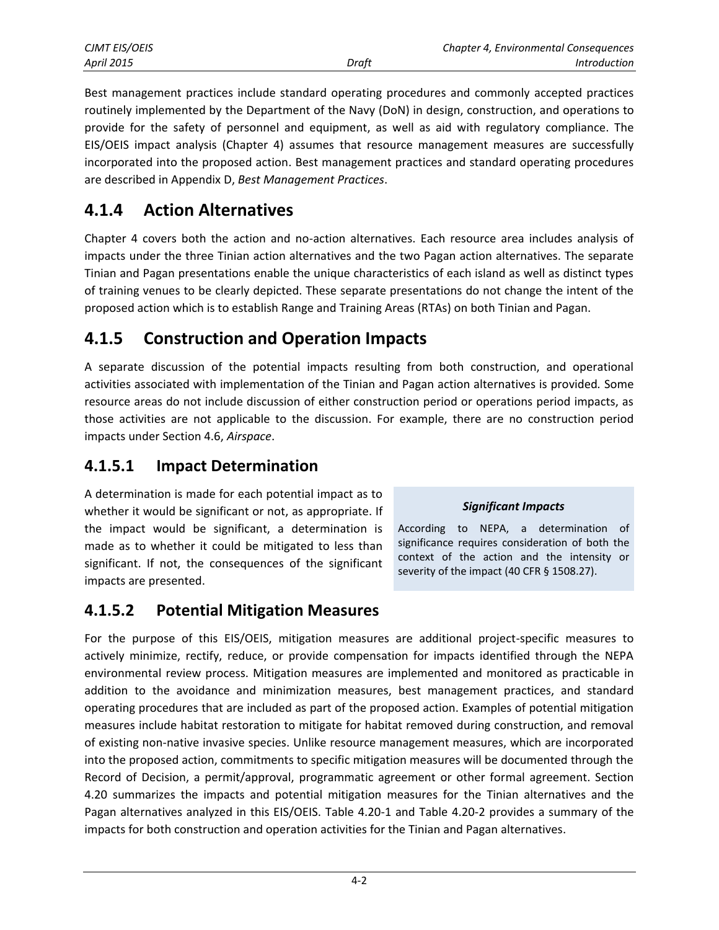| CJMT EIS/OEIS     |       | Chapter 4, Environmental Consequences |
|-------------------|-------|---------------------------------------|
| <b>April 2015</b> | Draft | <i>Introduction</i>                   |

Best management practices include standard operating procedures and commonly accepted practices routinely implemented by the Department of the Navy (DoN) in design, construction, and operations to provide for the safety of personnel and equipment, as well as aid with regulatory compliance. The EIS/OEIS impact analysis (Chapter 4) assumes that resource management measures are successfully incorporated into the proposed action. Best management practices and standard operating procedures are described in Appendix D, *Best Management Practices*.

### **4.1.4 Action Alternatives**

Chapter 4 covers both the action and no-action alternatives. Each resource area includes analysis of impacts under the three Tinian action alternatives and the two Pagan action alternatives. The separate Tinian and Pagan presentations enable the unique characteristics of each island as well as distinct types of training venues to be clearly depicted. These separate presentations do not change the intent of the proposed action which is to establish Range and Training Areas (RTAs) on both Tinian and Pagan.

### **4.1.5 Construction and Operation Impacts**

A separate discussion of the potential impacts resulting from both construction, and operational activities associated with implementation of the Tinian and Pagan action alternatives is provided*.* Some resource areas do not include discussion of either construction period or operations period impacts, as those activities are not applicable to the discussion. For example, there are no construction period impacts under Section 4.6, *Airspace*.

#### **4.1.5.1 Impact Determination**

A determination is made for each potential impact as to whether it would be significant or not, as appropriate. If the impact would be significant, a determination is made as to whether it could be mitigated to less than significant. If not, the consequences of the significant impacts are presented.

#### *Significant Impacts*

According to NEPA, a determination of significance requires consideration of both the context of the action and the intensity or severity of the impact (40 CFR § 1508.27).

### **4.1.5.2 Potential Mitigation Measures**

For the purpose of this EIS/OEIS, mitigation measures are additional project-specific measures to actively minimize, rectify, reduce, or provide compensation for impacts identified through the NEPA environmental review process. Mitigation measures are implemented and monitored as practicable in addition to the avoidance and minimization measures, best management practices, and standard operating procedures that are included as part of the proposed action. Examples of potential mitigation measures include habitat restoration to mitigate for habitat removed during construction, and removal of existing non-native invasive species. Unlike resource management measures, which are incorporated into the proposed action, commitments to specific mitigation measures will be documented through the Record of Decision, a permit/approval, programmatic agreement or other formal agreement. Section 4.20 summarizes the impacts and potential mitigation measures for the Tinian alternatives and the Pagan alternatives analyzed in this EIS/OEIS. Table 4.20-1 and Table 4.20-2 provides a summary of the impacts for both construction and operation activities for the Tinian and Pagan alternatives.